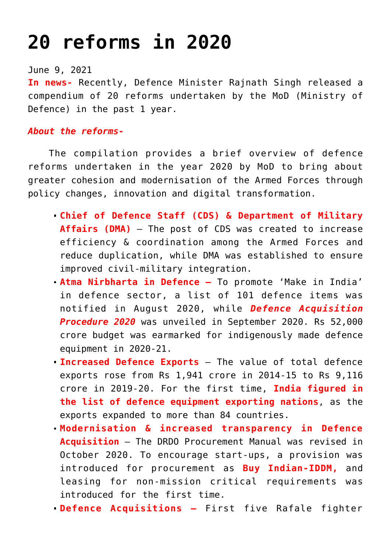## **[20 reforms in 2020](https://journalsofindia.com/20-reforms-in-2020/)**

June 9, 2021

**In news-** Recently, Defence Minister Rajnath Singh released a compendium of 20 reforms undertaken by the MoD (Ministry of Defence) in the past 1 year.

## *About the reforms-*

 The compilation provides a brief overview of defence reforms undertaken in the year 2020 by MoD to bring about greater cohesion and modernisation of the Armed Forces through policy changes, innovation and digital transformation.

- **Chief of Defence Staff (CDS) & Department of Military Affairs (DMA)** – The post of CDS was created to increase efficiency & coordination among the Armed Forces and reduce duplication, while DMA was established to ensure improved civil-military integration.
- **Atma Nirbharta in Defence –** To promote 'Make in India' in defence sector, a list of 101 defence items was notified in August 2020, while *Defence Acquisition Procedure 2020* was unveiled in September 2020. Rs 52,000 crore budget was earmarked for indigenously made defence equipment in 2020-21.
- **Increased Defence Exports**  The value of total defence exports rose from Rs 1,941 crore in 2014-15 to Rs 9,116 crore in 2019-20. For the first time, **India figured in the list of defence equipment exporting nations**, as the exports expanded to more than 84 countries.
- **Modernisation & increased transparency in Defence Acquisition** – The DRDO Procurement Manual was revised in October 2020. To encourage start-ups, a provision was introduced for procurement as **Buy Indian-IDDM,** and leasing for non-mission critical requirements was introduced for the first time.
- **Defence Acquisitions** First five Rafale fighter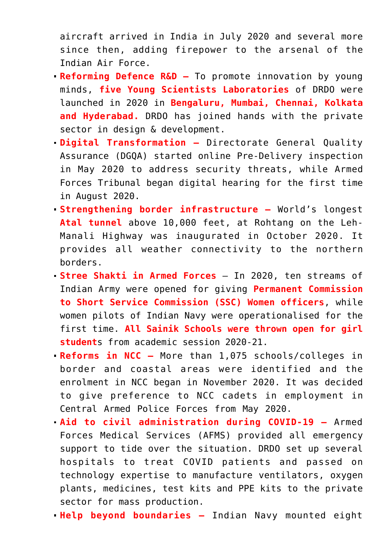aircraft arrived in India in July 2020 and several more since then, adding firepower to the arsenal of the Indian Air Force.

- **Reforming Defence R&D** To promote innovation by young minds, **five Young Scientists Laboratories** of DRDO were launched in 2020 in **Bengaluru, Mumbai, Chennai, Kolkata and Hyderabad.** DRDO has joined hands with the private sector in design & development.
- **Digital Transformation** Directorate General Quality Assurance (DGQA) started online Pre-Delivery inspection in May 2020 to address security threats, while Armed Forces Tribunal began digital hearing for the first time in August 2020.
- **Strengthening border infrastructure** World's longest **Atal tunnel** above 10,000 feet, at Rohtang on the Leh-Manali Highway was inaugurated in October 2020. It provides all weather connectivity to the northern borders.
- **Stree Shakti in Armed Forces**  In 2020, ten streams of Indian Army were opened for giving **Permanent Commission to Short Service Commission (SSC) Women officers**, while women pilots of Indian Navy were operationalised for the first time. **All Sainik Schools were thrown open for girl student**s from academic session 2020-21.
- **Reforms in NCC –** More than 1,075 schools/colleges in border and coastal areas were identified and the enrolment in NCC began in November 2020. It was decided to give preference to NCC cadets in employment in Central Armed Police Forces from May 2020.
- **Aid to civil administration during COVID-19 –** Armed Forces Medical Services (AFMS) provided all emergency support to tide over the situation. DRDO set up several hospitals to treat COVID patients and passed on technology expertise to manufacture ventilators, oxygen plants, medicines, test kits and PPE kits to the private sector for mass production.
- **Help beyond boundaries –** Indian Navy mounted eight